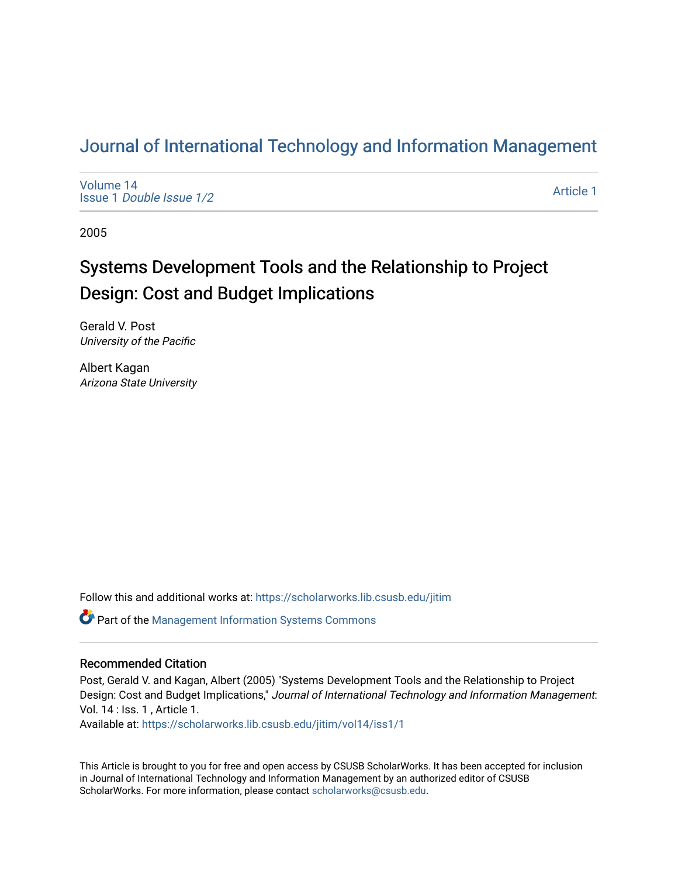## [Journal of International Technology and Information Management](https://scholarworks.lib.csusb.edu/jitim)

[Volume 14](https://scholarworks.lib.csusb.edu/jitim/vol14) Issue 1 [Double Issue 1/2](https://scholarworks.lib.csusb.edu/jitim/vol14/iss1) 

[Article 1](https://scholarworks.lib.csusb.edu/jitim/vol14/iss1/1) 

2005

# Systems Development Tools and the Relationship to Project Design: Cost and Budget Implications

Gerald V. Post University of the Pacific

Albert Kagan Arizona State University

Follow this and additional works at: [https://scholarworks.lib.csusb.edu/jitim](https://scholarworks.lib.csusb.edu/jitim?utm_source=scholarworks.lib.csusb.edu%2Fjitim%2Fvol14%2Fiss1%2F1&utm_medium=PDF&utm_campaign=PDFCoverPages) 

Part of the [Management Information Systems Commons](http://network.bepress.com/hgg/discipline/636?utm_source=scholarworks.lib.csusb.edu%2Fjitim%2Fvol14%2Fiss1%2F1&utm_medium=PDF&utm_campaign=PDFCoverPages) 

#### Recommended Citation

Post, Gerald V. and Kagan, Albert (2005) "Systems Development Tools and the Relationship to Project Design: Cost and Budget Implications," Journal of International Technology and Information Management: Vol. 14 : Iss. 1 , Article 1.

Available at: [https://scholarworks.lib.csusb.edu/jitim/vol14/iss1/1](https://scholarworks.lib.csusb.edu/jitim/vol14/iss1/1?utm_source=scholarworks.lib.csusb.edu%2Fjitim%2Fvol14%2Fiss1%2F1&utm_medium=PDF&utm_campaign=PDFCoverPages) 

This Article is brought to you for free and open access by CSUSB ScholarWorks. It has been accepted for inclusion in Journal of International Technology and Information Management by an authorized editor of CSUSB ScholarWorks. For more information, please contact [scholarworks@csusb.edu.](mailto:scholarworks@csusb.edu)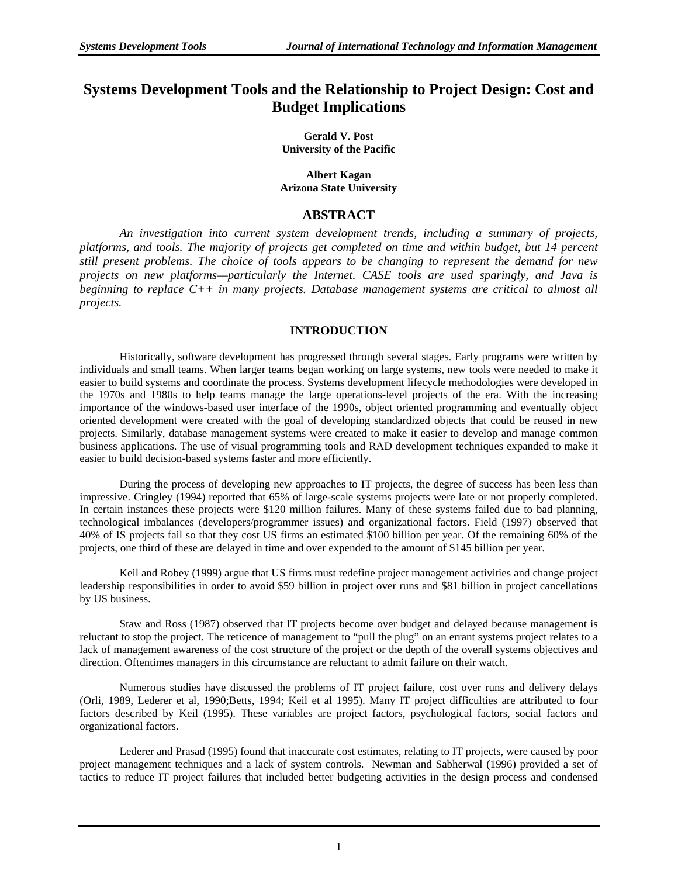### **Systems Development Tools and the Relationship to Project Design: Cost and Budget Implications**

**Gerald V. Post University of the Pacific** 

**Albert Kagan Arizona State University** 

#### **ABSTRACT**

*An investigation into current system development trends, including a summary of projects, platforms, and tools. The majority of projects get completed on time and within budget, but 14 percent still present problems. The choice of tools appears to be changing to represent the demand for new projects on new platforms—particularly the Internet. CASE tools are used sparingly, and Java is beginning to replace C++ in many projects. Database management systems are critical to almost all projects.* 

#### **INTRODUCTION**

Historically, software development has progressed through several stages. Early programs were written by individuals and small teams. When larger teams began working on large systems, new tools were needed to make it easier to build systems and coordinate the process. Systems development lifecycle methodologies were developed in the 1970s and 1980s to help teams manage the large operations-level projects of the era. With the increasing importance of the windows-based user interface of the 1990s, object oriented programming and eventually object oriented development were created with the goal of developing standardized objects that could be reused in new projects. Similarly, database management systems were created to make it easier to develop and manage common business applications. The use of visual programming tools and RAD development techniques expanded to make it easier to build decision-based systems faster and more efficiently.

During the process of developing new approaches to IT projects, the degree of success has been less than impressive. Cringley (1994) reported that 65% of large-scale systems projects were late or not properly completed. In certain instances these projects were \$120 million failures. Many of these systems failed due to bad planning, technological imbalances (developers/programmer issues) and organizational factors. Field (1997) observed that 40% of IS projects fail so that they cost US firms an estimated \$100 billion per year. Of the remaining 60% of the projects, one third of these are delayed in time and over expended to the amount of \$145 billion per year.

Keil and Robey (1999) argue that US firms must redefine project management activities and change project leadership responsibilities in order to avoid \$59 billion in project over runs and \$81 billion in project cancellations by US business.

Staw and Ross (1987) observed that IT projects become over budget and delayed because management is reluctant to stop the project. The reticence of management to "pull the plug" on an errant systems project relates to a lack of management awareness of the cost structure of the project or the depth of the overall systems objectives and direction. Oftentimes managers in this circumstance are reluctant to admit failure on their watch.

Numerous studies have discussed the problems of IT project failure, cost over runs and delivery delays (Orli, 1989, Lederer et al, 1990;Betts, 1994; Keil et al 1995). Many IT project difficulties are attributed to four factors described by Keil (1995). These variables are project factors, psychological factors, social factors and organizational factors.

Lederer and Prasad (1995) found that inaccurate cost estimates, relating to IT projects, were caused by poor project management techniques and a lack of system controls. Newman and Sabherwal (1996) provided a set of tactics to reduce IT project failures that included better budgeting activities in the design process and condensed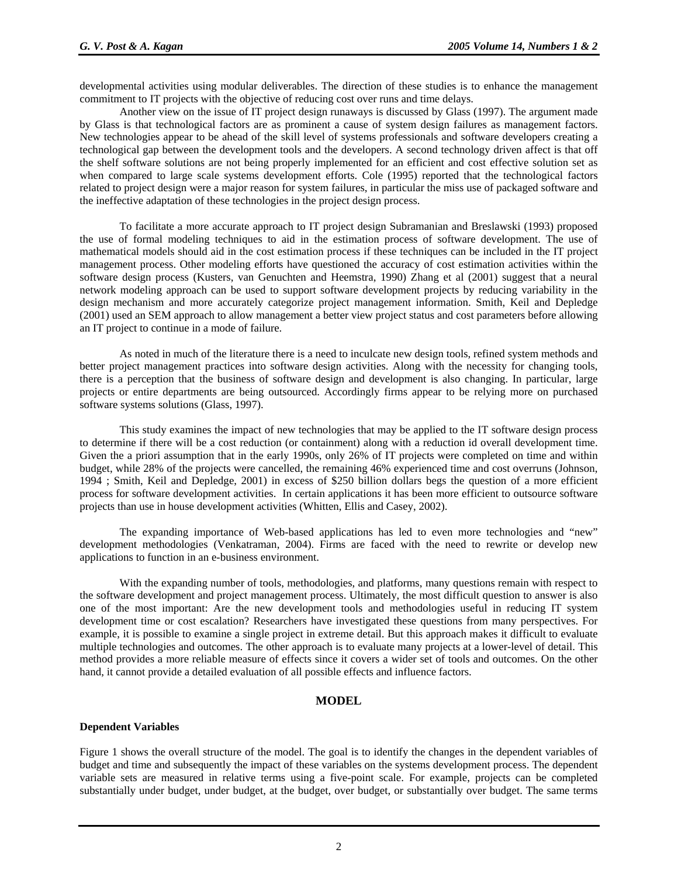developmental activities using modular deliverables. The direction of these studies is to enhance the management commitment to IT projects with the objective of reducing cost over runs and time delays.

Another view on the issue of IT project design runaways is discussed by Glass (1997). The argument made by Glass is that technological factors are as prominent a cause of system design failures as management factors. New technologies appear to be ahead of the skill level of systems professionals and software developers creating a technological gap between the development tools and the developers. A second technology driven affect is that off the shelf software solutions are not being properly implemented for an efficient and cost effective solution set as when compared to large scale systems development efforts. Cole (1995) reported that the technological factors related to project design were a major reason for system failures, in particular the miss use of packaged software and the ineffective adaptation of these technologies in the project design process.

To facilitate a more accurate approach to IT project design Subramanian and Breslawski (1993) proposed the use of formal modeling techniques to aid in the estimation process of software development. The use of mathematical models should aid in the cost estimation process if these techniques can be included in the IT project management process. Other modeling efforts have questioned the accuracy of cost estimation activities within the software design process (Kusters, van Genuchten and Heemstra, 1990) Zhang et al (2001) suggest that a neural network modeling approach can be used to support software development projects by reducing variability in the design mechanism and more accurately categorize project management information. Smith, Keil and Depledge (2001) used an SEM approach to allow management a better view project status and cost parameters before allowing an IT project to continue in a mode of failure.

As noted in much of the literature there is a need to inculcate new design tools, refined system methods and better project management practices into software design activities. Along with the necessity for changing tools, there is a perception that the business of software design and development is also changing. In particular, large projects or entire departments are being outsourced. Accordingly firms appear to be relying more on purchased software systems solutions (Glass, 1997).

This study examines the impact of new technologies that may be applied to the IT software design process to determine if there will be a cost reduction (or containment) along with a reduction id overall development time. Given the a priori assumption that in the early 1990s, only 26% of IT projects were completed on time and within budget, while 28% of the projects were cancelled, the remaining 46% experienced time and cost overruns (Johnson, 1994 ; Smith, Keil and Depledge, 2001) in excess of \$250 billion dollars begs the question of a more efficient process for software development activities. In certain applications it has been more efficient to outsource software projects than use in house development activities (Whitten, Ellis and Casey, 2002).

The expanding importance of Web-based applications has led to even more technologies and "new" development methodologies (Venkatraman, 2004). Firms are faced with the need to rewrite or develop new applications to function in an e-business environment.

With the expanding number of tools, methodologies, and platforms, many questions remain with respect to the software development and project management process. Ultimately, the most difficult question to answer is also one of the most important: Are the new development tools and methodologies useful in reducing IT system development time or cost escalation? Researchers have investigated these questions from many perspectives. For example, it is possible to examine a single project in extreme detail. But this approach makes it difficult to evaluate multiple technologies and outcomes. The other approach is to evaluate many projects at a lower-level of detail. This method provides a more reliable measure of effects since it covers a wider set of tools and outcomes. On the other hand, it cannot provide a detailed evaluation of all possible effects and influence factors.

#### **MODEL**

#### **Dependent Variables**

Figure 1 shows the overall structure of the model. The goal is to identify the changes in the dependent variables of budget and time and subsequently the impact of these variables on the systems development process. The dependent variable sets are measured in relative terms using a five-point scale. For example, projects can be completed substantially under budget, under budget, at the budget, over budget, or substantially over budget. The same terms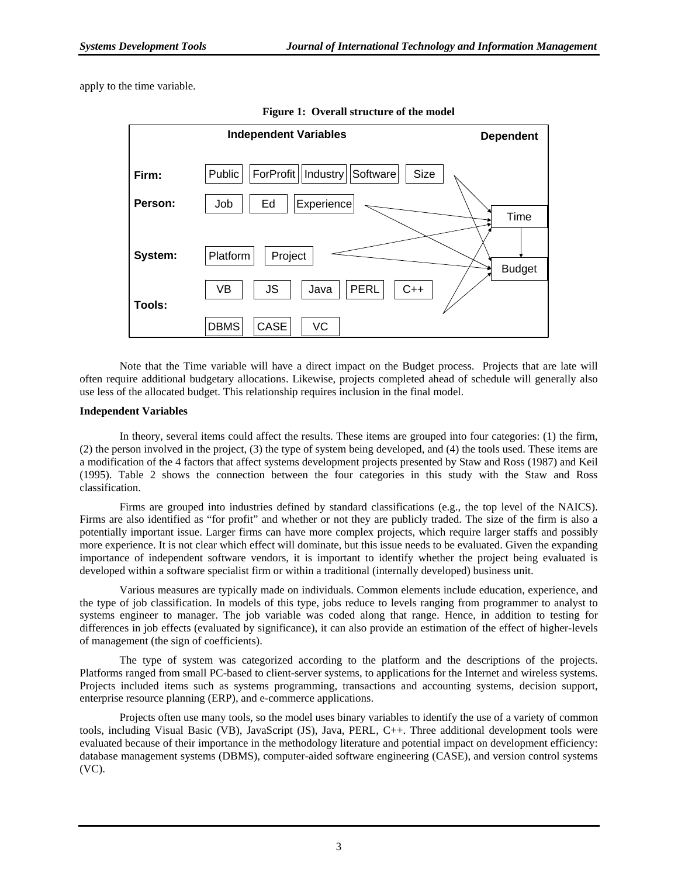apply to the time variable.



**Figure 1: Overall structure of the model** 

Note that the Time variable will have a direct impact on the Budget process. Projects that are late will often require additional budgetary allocations. Likewise, projects completed ahead of schedule will generally also use less of the allocated budget. This relationship requires inclusion in the final model.

#### **Independent Variables**

In theory, several items could affect the results. These items are grouped into four categories: (1) the firm, (2) the person involved in the project, (3) the type of system being developed, and (4) the tools used. These items are a modification of the 4 factors that affect systems development projects presented by Staw and Ross (1987) and Keil (1995). Table 2 shows the connection between the four categories in this study with the Staw and Ross classification.

Firms are grouped into industries defined by standard classifications (e.g., the top level of the NAICS). Firms are also identified as "for profit" and whether or not they are publicly traded. The size of the firm is also a potentially important issue. Larger firms can have more complex projects, which require larger staffs and possibly more experience. It is not clear which effect will dominate, but this issue needs to be evaluated. Given the expanding importance of independent software vendors, it is important to identify whether the project being evaluated is developed within a software specialist firm or within a traditional (internally developed) business unit.

Various measures are typically made on individuals. Common elements include education, experience, and the type of job classification. In models of this type, jobs reduce to levels ranging from programmer to analyst to systems engineer to manager. The job variable was coded along that range. Hence, in addition to testing for differences in job effects (evaluated by significance), it can also provide an estimation of the effect of higher-levels of management (the sign of coefficients).

The type of system was categorized according to the platform and the descriptions of the projects. Platforms ranged from small PC-based to client-server systems, to applications for the Internet and wireless systems. Projects included items such as systems programming, transactions and accounting systems, decision support, enterprise resource planning (ERP), and e-commerce applications.

Projects often use many tools, so the model uses binary variables to identify the use of a variety of common tools, including Visual Basic (VB), JavaScript (JS), Java, PERL, C++. Three additional development tools were evaluated because of their importance in the methodology literature and potential impact on development efficiency: database management systems (DBMS), computer-aided software engineering (CASE), and version control systems (VC).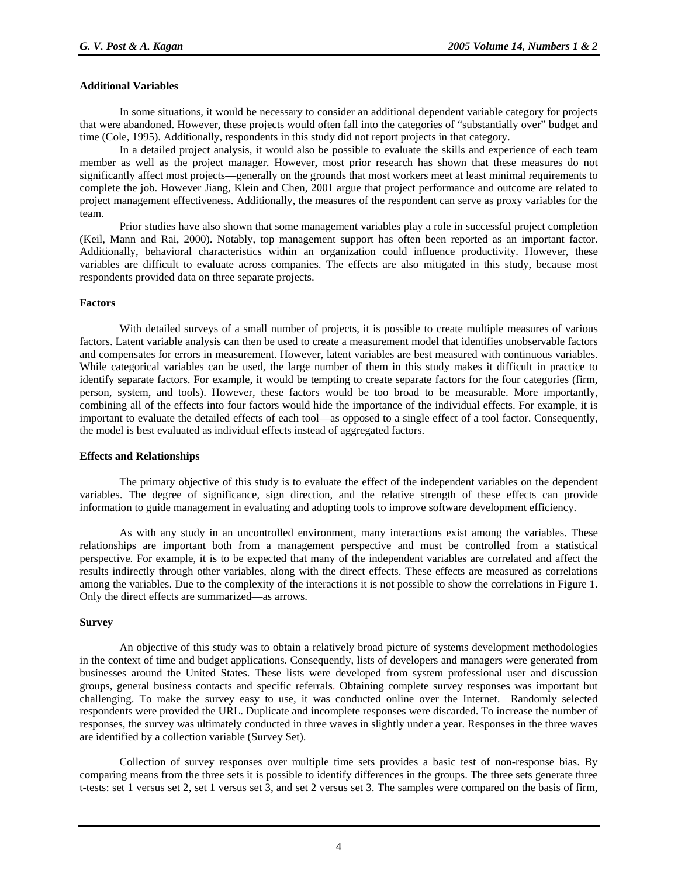#### **Additional Variables**

In some situations, it would be necessary to consider an additional dependent variable category for projects that were abandoned. However, these projects would often fall into the categories of "substantially over" budget and time (Cole, 1995). Additionally, respondents in this study did not report projects in that category.

In a detailed project analysis, it would also be possible to evaluate the skills and experience of each team member as well as the project manager. However, most prior research has shown that these measures do not significantly affect most projects—generally on the grounds that most workers meet at least minimal requirements to complete the job. However Jiang, Klein and Chen, 2001 argue that project performance and outcome are related to project management effectiveness. Additionally, the measures of the respondent can serve as proxy variables for the team.

Prior studies have also shown that some management variables play a role in successful project completion (Keil, Mann and Rai, 2000). Notably, top management support has often been reported as an important factor. Additionally, behavioral characteristics within an organization could influence productivity. However, these variables are difficult to evaluate across companies. The effects are also mitigated in this study, because most respondents provided data on three separate projects.

#### **Factors**

With detailed surveys of a small number of projects, it is possible to create multiple measures of various factors. Latent variable analysis can then be used to create a measurement model that identifies unobservable factors and compensates for errors in measurement. However, latent variables are best measured with continuous variables. While categorical variables can be used, the large number of them in this study makes it difficult in practice to identify separate factors. For example, it would be tempting to create separate factors for the four categories (firm, person, system, and tools). However, these factors would be too broad to be measurable. More importantly, combining all of the effects into four factors would hide the importance of the individual effects. For example, it is important to evaluate the detailed effects of each tool—as opposed to a single effect of a tool factor. Consequently, the model is best evaluated as individual effects instead of aggregated factors.

#### **Effects and Relationships**

The primary objective of this study is to evaluate the effect of the independent variables on the dependent variables. The degree of significance, sign direction, and the relative strength of these effects can provide information to guide management in evaluating and adopting tools to improve software development efficiency.

As with any study in an uncontrolled environment, many interactions exist among the variables. These relationships are important both from a management perspective and must be controlled from a statistical perspective. For example, it is to be expected that many of the independent variables are correlated and affect the results indirectly through other variables, along with the direct effects. These effects are measured as correlations among the variables. Due to the complexity of the interactions it is not possible to show the correlations in Figure 1. Only the direct effects are summarized—as arrows.

#### **Survey**

An objective of this study was to obtain a relatively broad picture of systems development methodologies in the context of time and budget applications. Consequently, lists of developers and managers were generated from businesses around the United States. These lists were developed from system professional user and discussion groups, general business contacts and specific referrals. Obtaining complete survey responses was important but challenging. To make the survey easy to use, it was conducted online over the Internet. Randomly selected respondents were provided the URL. Duplicate and incomplete responses were discarded. To increase the number of responses, the survey was ultimately conducted in three waves in slightly under a year. Responses in the three waves are identified by a collection variable (Survey Set).

Collection of survey responses over multiple time sets provides a basic test of non-response bias. By comparing means from the three sets it is possible to identify differences in the groups. The three sets generate three t-tests: set 1 versus set 2, set 1 versus set 3, and set 2 versus set 3. The samples were compared on the basis of firm,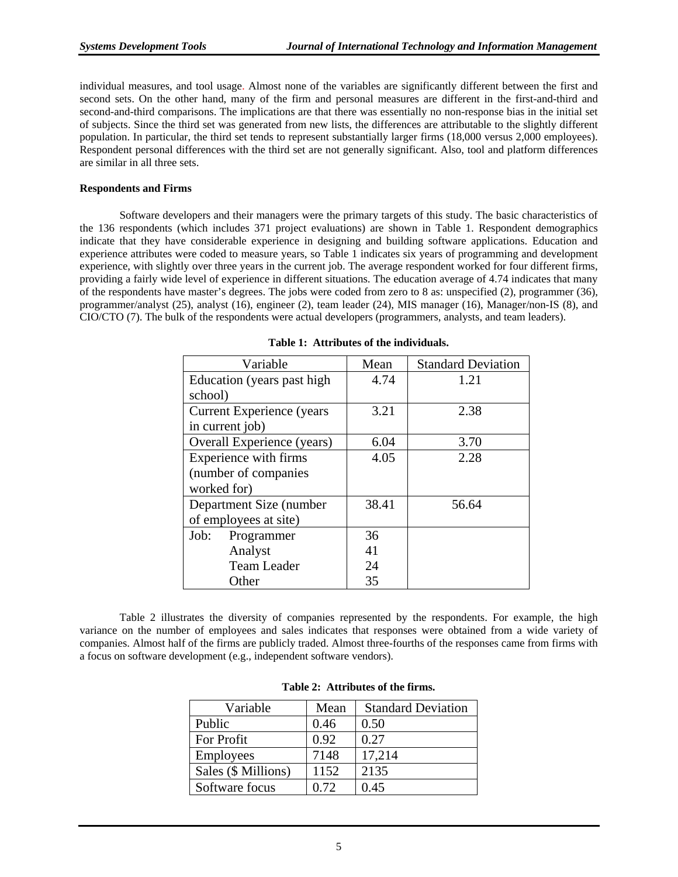individual measures, and tool usage. Almost none of the variables are significantly different between the first and second sets. On the other hand, many of the firm and personal measures are different in the first-and-third and second-and-third comparisons. The implications are that there was essentially no non-response bias in the initial set of subjects. Since the third set was generated from new lists, the differences are attributable to the slightly different population. In particular, the third set tends to represent substantially larger firms (18,000 versus 2,000 employees). Respondent personal differences with the third set are not generally significant. Also, tool and platform differences are similar in all three sets.

#### **Respondents and Firms**

Software developers and their managers were the primary targets of this study. The basic characteristics of the 136 respondents (which includes 371 project evaluations) are shown in Table 1. Respondent demographics indicate that they have considerable experience in designing and building software applications. Education and experience attributes were coded to measure years, so Table 1 indicates six years of programming and development experience, with slightly over three years in the current job. The average respondent worked for four different firms, providing a fairly wide level of experience in different situations. The education average of 4.74 indicates that many of the respondents have master's degrees. The jobs were coded from zero to 8 as: unspecified (2), programmer (36), programmer/analyst (25), analyst (16), engineer (2), team leader (24), MIS manager (16), Manager/non-IS (8), and CIO/CTO (7). The bulk of the respondents were actual developers (programmers, analysts, and team leaders).

| Variable                         | Mean  | <b>Standard Deviation</b> |
|----------------------------------|-------|---------------------------|
| Education (years past high)      | 4.74  | 1.21                      |
| school)                          |       |                           |
| <b>Current Experience</b> (years | 3.21  | 2.38                      |
| in current job)                  |       |                           |
| Overall Experience (years)       | 6.04  | 3.70                      |
| Experience with firms            | 4.05  | 2.28                      |
| (number of companies             |       |                           |
| worked for)                      |       |                           |
| Department Size (number          | 38.41 | 56.64                     |
| of employees at site)            |       |                           |
| Programmer<br>Job:               | 36    |                           |
| Analyst                          | 41    |                           |
| <b>Team Leader</b>               | 24    |                           |
| Other                            | 35    |                           |

**Table 1: Attributes of the individuals.** 

Table 2 illustrates the diversity of companies represented by the respondents. For example, the high variance on the number of employees and sales indicates that responses were obtained from a wide variety of companies. Almost half of the firms are publicly traded. Almost three-fourths of the responses came from firms with a focus on software development (e.g., independent software vendors).

| Variable            | Mean | <b>Standard Deviation</b> |
|---------------------|------|---------------------------|
| Public              | 0.46 | 0.50                      |
| For Profit          | 0.92 | 0.27                      |
| <b>Employees</b>    | 7148 | 17,214                    |
| Sales (\$ Millions) | 1152 | 2135                      |
| Software focus      | 0.72 | 0.45                      |

**Table 2: Attributes of the firms.**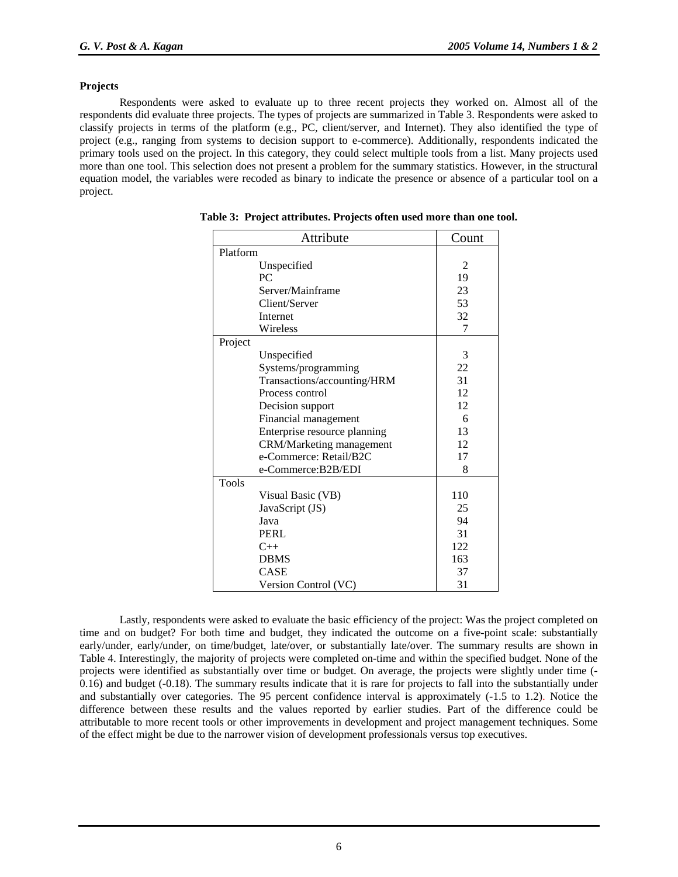#### **Projects**

Respondents were asked to evaluate up to three recent projects they worked on. Almost all of the respondents did evaluate three projects. The types of projects are summarized in Table 3. Respondents were asked to classify projects in terms of the platform (e.g., PC, client/server, and Internet). They also identified the type of project (e.g., ranging from systems to decision support to e-commerce). Additionally, respondents indicated the primary tools used on the project. In this category, they could select multiple tools from a list. Many projects used more than one tool. This selection does not present a problem for the summary statistics. However, in the structural equation model, the variables were recoded as binary to indicate the presence or absence of a particular tool on a project.

| Attribute                       | Count |
|---------------------------------|-------|
| Platform                        |       |
| Unspecified                     | 2     |
| PC.                             | 19    |
| Server/Mainframe                | 23    |
| Client/Server                   | 53    |
| Internet                        | 32    |
| Wireless                        | 7     |
| Project                         |       |
| Unspecified                     | 3     |
| Systems/programming             | 22    |
| Transactions/accounting/HRM     | 31    |
| Process control                 | 12    |
| Decision support                | 12    |
| Financial management            | 6     |
| Enterprise resource planning    | 13    |
| <b>CRM/Marketing management</b> | 12    |
| e-Commerce: Retail/B2C          | 17    |
| e-Commerce:B2B/EDI              | 8     |
| <b>Tools</b>                    |       |
| Visual Basic (VB)               | 110   |
| JavaScript (JS)                 | 25    |
| Java                            | 94    |
| <b>PERL</b>                     | 31    |
| $C++$                           | 122   |
| <b>DBMS</b>                     | 163   |
| <b>CASE</b>                     | 37    |
| Version Control (VC)            | 31    |

**Table 3: Project attributes. Projects often used more than one tool.**

Lastly, respondents were asked to evaluate the basic efficiency of the project: Was the project completed on time and on budget? For both time and budget, they indicated the outcome on a five-point scale: substantially early/under, early/under, on time/budget, late/over, or substantially late/over. The summary results are shown in Table 4. Interestingly, the majority of projects were completed on-time and within the specified budget. None of the projects were identified as substantially over time or budget. On average, the projects were slightly under time (- 0.16) and budget (-0.18). The summary results indicate that it is rare for projects to fall into the substantially under and substantially over categories. The 95 percent confidence interval is approximately (-1.5 to 1.2). Notice the difference between these results and the values reported by earlier studies. Part of the difference could be attributable to more recent tools or other improvements in development and project management techniques. Some of the effect might be due to the narrower vision of development professionals versus top executives.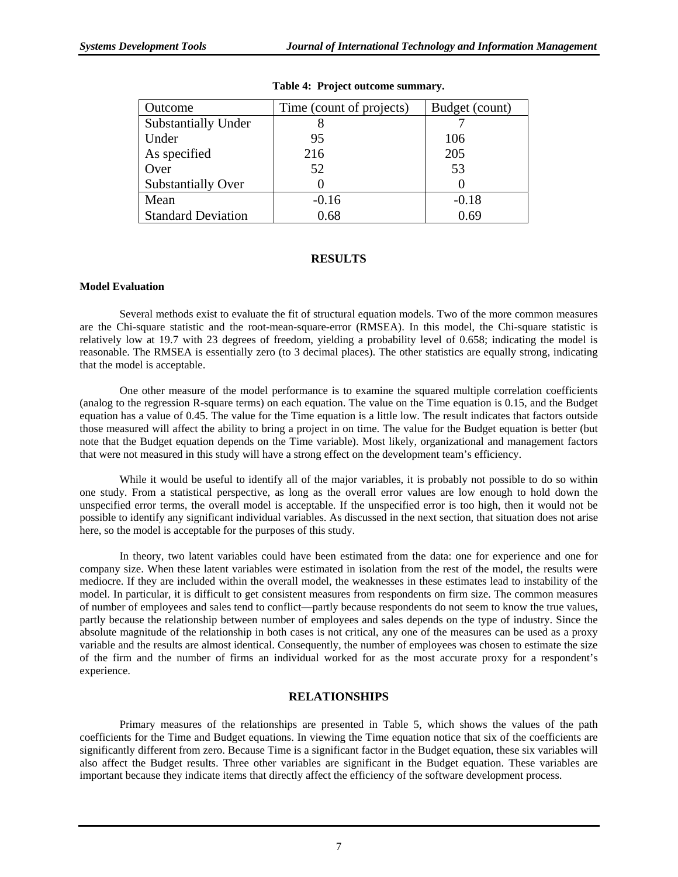| Outcome                    | Time (count of projects) | Budget (count) |
|----------------------------|--------------------------|----------------|
| <b>Substantially Under</b> |                          |                |
| Under                      | 95                       | 106            |
| As specified               | 216                      | 205            |
| Over                       | 52                       | 53             |
| <b>Substantially Over</b>  |                          |                |
| Mean                       | $-0.16$                  | $-0.18$        |
| <b>Standard Deviation</b>  | 0.68                     | 0.69           |

#### **Table 4: Project outcome summary.**

#### **RESULTS**

#### **Model Evaluation**

Several methods exist to evaluate the fit of structural equation models. Two of the more common measures are the Chi-square statistic and the root-mean-square-error (RMSEA). In this model, the Chi-square statistic is relatively low at 19.7 with 23 degrees of freedom, yielding a probability level of 0.658; indicating the model is reasonable. The RMSEA is essentially zero (to 3 decimal places). The other statistics are equally strong, indicating that the model is acceptable.

One other measure of the model performance is to examine the squared multiple correlation coefficients (analog to the regression R-square terms) on each equation. The value on the Time equation is 0.15, and the Budget equation has a value of 0.45. The value for the Time equation is a little low. The result indicates that factors outside those measured will affect the ability to bring a project in on time. The value for the Budget equation is better (but note that the Budget equation depends on the Time variable). Most likely, organizational and management factors that were not measured in this study will have a strong effect on the development team's efficiency.

While it would be useful to identify all of the major variables, it is probably not possible to do so within one study. From a statistical perspective, as long as the overall error values are low enough to hold down the unspecified error terms, the overall model is acceptable. If the unspecified error is too high, then it would not be possible to identify any significant individual variables. As discussed in the next section, that situation does not arise here, so the model is acceptable for the purposes of this study.

In theory, two latent variables could have been estimated from the data: one for experience and one for company size. When these latent variables were estimated in isolation from the rest of the model, the results were mediocre. If they are included within the overall model, the weaknesses in these estimates lead to instability of the model. In particular, it is difficult to get consistent measures from respondents on firm size. The common measures of number of employees and sales tend to conflict—partly because respondents do not seem to know the true values, partly because the relationship between number of employees and sales depends on the type of industry. Since the absolute magnitude of the relationship in both cases is not critical, any one of the measures can be used as a proxy variable and the results are almost identical. Consequently, the number of employees was chosen to estimate the size of the firm and the number of firms an individual worked for as the most accurate proxy for a respondent's experience.

#### **RELATIONSHIPS**

Primary measures of the relationships are presented in Table 5, which shows the values of the path coefficients for the Time and Budget equations. In viewing the Time equation notice that six of the coefficients are significantly different from zero. Because Time is a significant factor in the Budget equation, these six variables will also affect the Budget results. Three other variables are significant in the Budget equation. These variables are important because they indicate items that directly affect the efficiency of the software development process.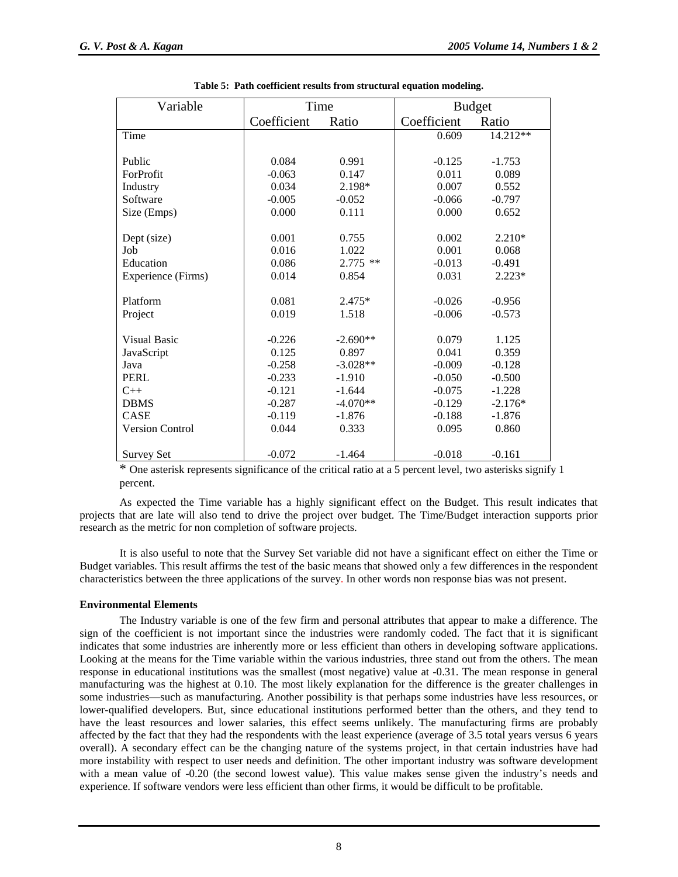| Variable               | Time        |            | <b>Budget</b> |           |  |
|------------------------|-------------|------------|---------------|-----------|--|
|                        | Coefficient | Ratio      | Coefficient   | Ratio     |  |
| Time                   |             |            | 0.609         | 14.212**  |  |
|                        |             |            |               |           |  |
| Public                 | 0.084       | 0.991      | $-0.125$      | $-1.753$  |  |
| ForProfit              | $-0.063$    | 0.147      | 0.011         | 0.089     |  |
| Industry               | 0.034       | 2.198*     | 0.007         | 0.552     |  |
| Software               | $-0.005$    | $-0.052$   | $-0.066$      | $-0.797$  |  |
| Size (Emps)            | 0.000       | 0.111      | 0.000         | 0.652     |  |
|                        |             |            |               |           |  |
| Dept (size)            | 0.001       | 0.755      | 0.002         | $2.210*$  |  |
| Job                    | 0.016       | 1.022      | 0.001         | 0.068     |  |
| Education              | 0.086       | $2.775$ ** | $-0.013$      | $-0.491$  |  |
| Experience (Firms)     | 0.014       | 0.854      | 0.031         | $2.223*$  |  |
|                        |             |            |               |           |  |
| Platform               | 0.081       | $2.475*$   | $-0.026$      | $-0.956$  |  |
| Project                | 0.019       | 1.518      | $-0.006$      | $-0.573$  |  |
|                        |             |            |               |           |  |
| <b>Visual Basic</b>    | $-0.226$    | $-2.690**$ | 0.079         | 1.125     |  |
| JavaScript             | 0.125       | 0.897      | 0.041         | 0.359     |  |
| Java                   | $-0.258$    | $-3.028**$ | $-0.009$      | $-0.128$  |  |
| <b>PERL</b>            | $-0.233$    | $-1.910$   | $-0.050$      | $-0.500$  |  |
| $C_{++}$               | $-0.121$    | $-1.644$   | $-0.075$      | $-1.228$  |  |
| <b>DBMS</b>            | $-0.287$    | $-4.070**$ | $-0.129$      | $-2.176*$ |  |
| CASE                   | $-0.119$    | $-1.876$   | $-0.188$      | $-1.876$  |  |
| <b>Version Control</b> | 0.044       | 0.333      | 0.095         | 0.860     |  |
|                        |             |            |               |           |  |
| <b>Survey Set</b>      | $-0.072$    | $-1.464$   | $-0.018$      | $-0.161$  |  |

| Table 5: Path coefficient results from structural equation modeling. |  |  |  |  |  |
|----------------------------------------------------------------------|--|--|--|--|--|
|----------------------------------------------------------------------|--|--|--|--|--|

 \* One asterisk represents significance of the critical ratio at a 5 percent level, two asterisks signify 1 percent.

As expected the Time variable has a highly significant effect on the Budget. This result indicates that projects that are late will also tend to drive the project over budget. The Time/Budget interaction supports prior research as the metric for non completion of software projects.

It is also useful to note that the Survey Set variable did not have a significant effect on either the Time or Budget variables. This result affirms the test of the basic means that showed only a few differences in the respondent characteristics between the three applications of the survey. In other words non response bias was not present.

#### **Environmental Elements**

The Industry variable is one of the few firm and personal attributes that appear to make a difference. The sign of the coefficient is not important since the industries were randomly coded. The fact that it is significant indicates that some industries are inherently more or less efficient than others in developing software applications. Looking at the means for the Time variable within the various industries, three stand out from the others. The mean response in educational institutions was the smallest (most negative) value at -0.31. The mean response in general manufacturing was the highest at 0.10. The most likely explanation for the difference is the greater challenges in some industries—such as manufacturing. Another possibility is that perhaps some industries have less resources, or lower-qualified developers. But, since educational institutions performed better than the others, and they tend to have the least resources and lower salaries, this effect seems unlikely. The manufacturing firms are probably affected by the fact that they had the respondents with the least experience (average of 3.5 total years versus 6 years overall). A secondary effect can be the changing nature of the systems project, in that certain industries have had more instability with respect to user needs and definition. The other important industry was software development with a mean value of -0.20 (the second lowest value). This value makes sense given the industry's needs and experience. If software vendors were less efficient than other firms, it would be difficult to be profitable.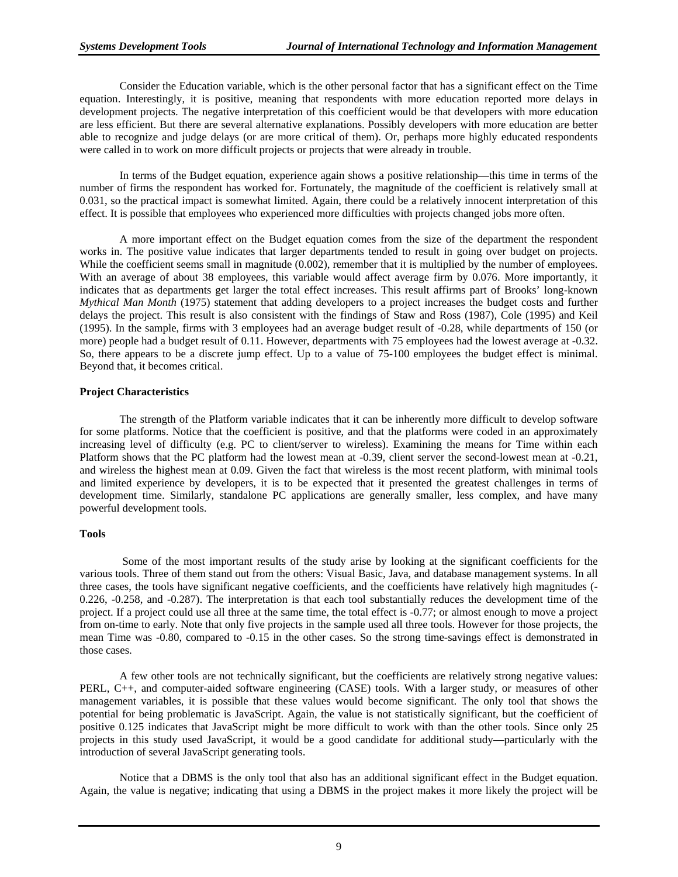Consider the Education variable, which is the other personal factor that has a significant effect on the Time equation. Interestingly, it is positive, meaning that respondents with more education reported more delays in development projects. The negative interpretation of this coefficient would be that developers with more education are less efficient. But there are several alternative explanations. Possibly developers with more education are better able to recognize and judge delays (or are more critical of them). Or, perhaps more highly educated respondents were called in to work on more difficult projects or projects that were already in trouble.

In terms of the Budget equation, experience again shows a positive relationship—this time in terms of the number of firms the respondent has worked for. Fortunately, the magnitude of the coefficient is relatively small at 0.031, so the practical impact is somewhat limited. Again, there could be a relatively innocent interpretation of this effect. It is possible that employees who experienced more difficulties with projects changed jobs more often.

A more important effect on the Budget equation comes from the size of the department the respondent works in. The positive value indicates that larger departments tended to result in going over budget on projects. While the coefficient seems small in magnitude (0.002), remember that it is multiplied by the number of employees. With an average of about 38 employees, this variable would affect average firm by 0.076. More importantly, it indicates that as departments get larger the total effect increases. This result affirms part of Brooks' long-known *Mythical Man Month* (1975) statement that adding developers to a project increases the budget costs and further delays the project. This result is also consistent with the findings of Staw and Ross (1987), Cole (1995) and Keil (1995). In the sample, firms with 3 employees had an average budget result of -0.28, while departments of 150 (or more) people had a budget result of 0.11. However, departments with 75 employees had the lowest average at -0.32. So, there appears to be a discrete jump effect. Up to a value of 75-100 employees the budget effect is minimal. Beyond that, it becomes critical.

#### **Project Characteristics**

The strength of the Platform variable indicates that it can be inherently more difficult to develop software for some platforms. Notice that the coefficient is positive, and that the platforms were coded in an approximately increasing level of difficulty (e.g. PC to client/server to wireless). Examining the means for Time within each Platform shows that the PC platform had the lowest mean at -0.39, client server the second-lowest mean at -0.21, and wireless the highest mean at 0.09. Given the fact that wireless is the most recent platform, with minimal tools and limited experience by developers, it is to be expected that it presented the greatest challenges in terms of development time. Similarly, standalone PC applications are generally smaller, less complex, and have many powerful development tools.

#### **Tools**

 Some of the most important results of the study arise by looking at the significant coefficients for the various tools. Three of them stand out from the others: Visual Basic, Java, and database management systems. In all three cases, the tools have significant negative coefficients, and the coefficients have relatively high magnitudes (- 0.226, -0.258, and -0.287). The interpretation is that each tool substantially reduces the development time of the project. If a project could use all three at the same time, the total effect is -0.77; or almost enough to move a project from on-time to early. Note that only five projects in the sample used all three tools. However for those projects, the mean Time was -0.80, compared to -0.15 in the other cases. So the strong time-savings effect is demonstrated in those cases.

A few other tools are not technically significant, but the coefficients are relatively strong negative values: PERL, C++, and computer-aided software engineering (CASE) tools. With a larger study, or measures of other management variables, it is possible that these values would become significant. The only tool that shows the potential for being problematic is JavaScript. Again, the value is not statistically significant, but the coefficient of positive 0.125 indicates that JavaScript might be more difficult to work with than the other tools. Since only 25 projects in this study used JavaScript, it would be a good candidate for additional study—particularly with the introduction of several JavaScript generating tools.

Notice that a DBMS is the only tool that also has an additional significant effect in the Budget equation. Again, the value is negative; indicating that using a DBMS in the project makes it more likely the project will be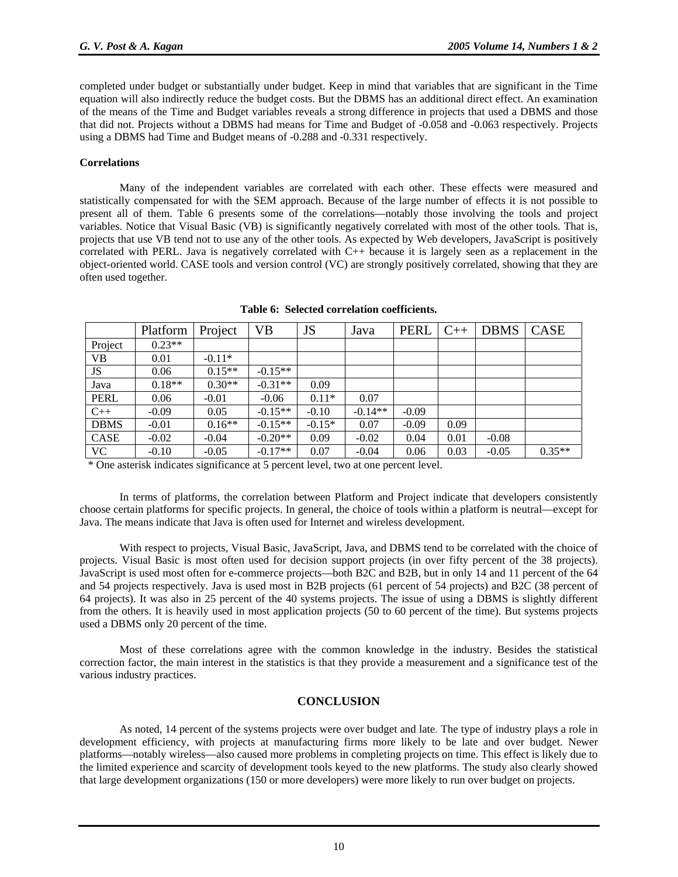completed under budget or substantially under budget. Keep in mind that variables that are significant in the Time equation will also indirectly reduce the budget costs. But the DBMS has an additional direct effect. An examination of the means of the Time and Budget variables reveals a strong difference in projects that used a DBMS and those that did not. Projects without a DBMS had means for Time and Budget of -0.058 and -0.063 respectively. Projects using a DBMS had Time and Budget means of -0.288 and -0.331 respectively.

#### **Correlations**

Many of the independent variables are correlated with each other. These effects were measured and statistically compensated for with the SEM approach. Because of the large number of effects it is not possible to present all of them. Table 6 presents some of the correlations—notably those involving the tools and project variables. Notice that Visual Basic (VB) is significantly negatively correlated with most of the other tools. That is, projects that use VB tend not to use any of the other tools. As expected by Web developers, JavaScript is positively correlated with PERL. Java is negatively correlated with C++ because it is largely seen as a replacement in the object-oriented world. CASE tools and version control (VC) are strongly positively correlated, showing that they are often used together.

|             | Platform | Project  | <b>VB</b> | JS       | Java      | <b>PERL</b> | $C++$ | <b>DBMS</b> | <b>CASE</b> |
|-------------|----------|----------|-----------|----------|-----------|-------------|-------|-------------|-------------|
| Project     | $0.23**$ |          |           |          |           |             |       |             |             |
| <b>VB</b>   | 0.01     | $-0.11*$ |           |          |           |             |       |             |             |
| JS          | 0.06     | $0.15**$ | $-0.15**$ |          |           |             |       |             |             |
| Java        | $0.18**$ | $0.30**$ | $-0.31**$ | 0.09     |           |             |       |             |             |
| <b>PERL</b> | 0.06     | $-0.01$  | $-0.06$   | $0.11*$  | 0.07      |             |       |             |             |
| $C++$       | $-0.09$  | 0.05     | $-0.15**$ | $-0.10$  | $-0.14**$ | $-0.09$     |       |             |             |
| <b>DBMS</b> | $-0.01$  | $0.16**$ | $-0.15**$ | $-0.15*$ | 0.07      | $-0.09$     | 0.09  |             |             |
| CASE        | $-0.02$  | $-0.04$  | $-0.20**$ | 0.09     | $-0.02$   | 0.04        | 0.01  | $-0.08$     |             |
| <b>VC</b>   | $-0.10$  | $-0.05$  | $-0.17**$ | 0.07     | $-0.04$   | 0.06        | 0.03  | $-0.05$     | $0.35**$    |

**Table 6: Selected correlation coefficients.** 

\* One asterisk indicates significance at 5 percent level, two at one percent level.

In terms of platforms, the correlation between Platform and Project indicate that developers consistently choose certain platforms for specific projects. In general, the choice of tools within a platform is neutral—except for Java. The means indicate that Java is often used for Internet and wireless development.

With respect to projects, Visual Basic, JavaScript, Java, and DBMS tend to be correlated with the choice of projects. Visual Basic is most often used for decision support projects (in over fifty percent of the 38 projects). JavaScript is used most often for e-commerce projects—both B2C and B2B, but in only 14 and 11 percent of the 64 and 54 projects respectively. Java is used most in B2B projects (61 percent of 54 projects) and B2C (38 percent of 64 projects). It was also in 25 percent of the 40 systems projects. The issue of using a DBMS is slightly different from the others. It is heavily used in most application projects (50 to 60 percent of the time). But systems projects used a DBMS only 20 percent of the time.

Most of these correlations agree with the common knowledge in the industry. Besides the statistical correction factor, the main interest in the statistics is that they provide a measurement and a significance test of the various industry practices.

#### **CONCLUSION**

As noted, 14 percent of the systems projects were over budget and late. The type of industry plays a role in development efficiency, with projects at manufacturing firms more likely to be late and over budget. Newer platforms—notably wireless—also caused more problems in completing projects on time. This effect is likely due to the limited experience and scarcity of development tools keyed to the new platforms. The study also clearly showed that large development organizations (150 or more developers) were more likely to run over budget on projects.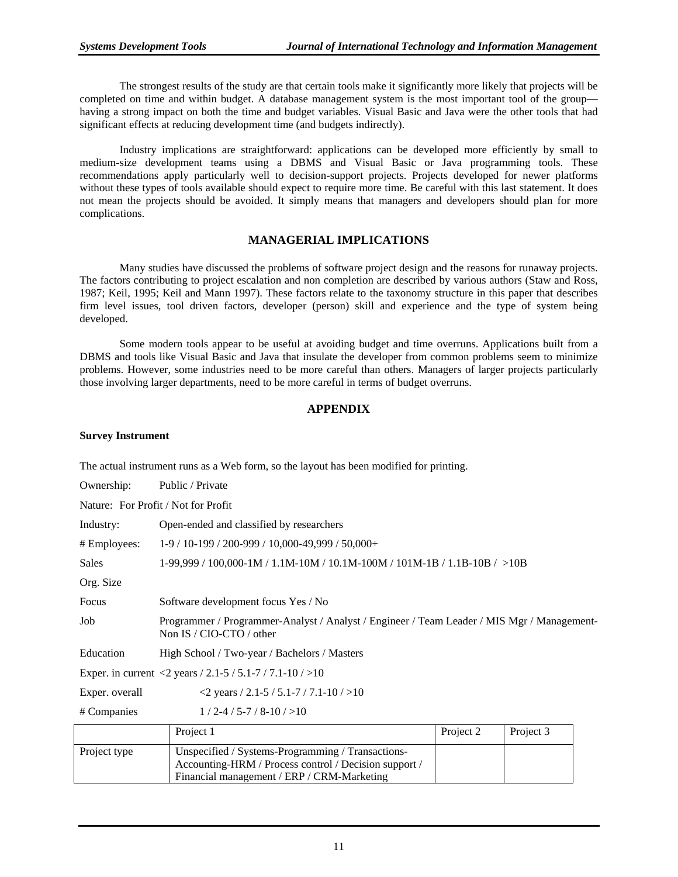The strongest results of the study are that certain tools make it significantly more likely that projects will be completed on time and within budget. A database management system is the most important tool of the group having a strong impact on both the time and budget variables. Visual Basic and Java were the other tools that had significant effects at reducing development time (and budgets indirectly).

Industry implications are straightforward: applications can be developed more efficiently by small to medium-size development teams using a DBMS and Visual Basic or Java programming tools. These recommendations apply particularly well to decision-support projects. Projects developed for newer platforms without these types of tools available should expect to require more time. Be careful with this last statement. It does not mean the projects should be avoided. It simply means that managers and developers should plan for more complications.

#### **MANAGERIAL IMPLICATIONS**

Many studies have discussed the problems of software project design and the reasons for runaway projects. The factors contributing to project escalation and non completion are described by various authors (Staw and Ross, 1987; Keil, 1995; Keil and Mann 1997). These factors relate to the taxonomy structure in this paper that describes firm level issues, tool driven factors, developer (person) skill and experience and the type of system being developed.

Some modern tools appear to be useful at avoiding budget and time overruns. Applications built from a DBMS and tools like Visual Basic and Java that insulate the developer from common problems seem to minimize problems. However, some industries need to be more careful than others. Managers of larger projects particularly those involving larger departments, need to be more careful in terms of budget overruns.

#### **APPENDIX**

#### **Survey Instrument**

The actual instrument runs as a Web form, so the layout has been modified for printing.

| Ownership:                                                  | Public / Private                                                                                                       |           |           |  |  |  |  |
|-------------------------------------------------------------|------------------------------------------------------------------------------------------------------------------------|-----------|-----------|--|--|--|--|
| Nature: For Profit / Not for Profit                         |                                                                                                                        |           |           |  |  |  |  |
| Industry:                                                   | Open-ended and classified by researchers                                                                               |           |           |  |  |  |  |
| # Employees:                                                | 1-9 / 10-199 / 200-999 / 10,000-49,999 / 50,000+                                                                       |           |           |  |  |  |  |
| <b>Sales</b>                                                | $1-99,999 / 100,000-1 M / 1.1 M-10M / 10.1 M-100M / 101 M-1 B / 1.1 B-10B / >10B$                                      |           |           |  |  |  |  |
| Org. Size                                                   |                                                                                                                        |           |           |  |  |  |  |
| Focus                                                       | Software development focus Yes / No                                                                                    |           |           |  |  |  |  |
| Job                                                         | Programmer / Programmer-Analyst / Analyst / Engineer / Team Leader / MIS Mgr / Management-<br>Non IS / CIO-CTO / other |           |           |  |  |  |  |
| Education                                                   | High School / Two-year / Bachelors / Masters                                                                           |           |           |  |  |  |  |
|                                                             | Exper. in current <2 years / 2.1-5 / 5.1-7 / 7.1-10 / >10                                                              |           |           |  |  |  |  |
| $2$ years / 2.1-5 / 5.1-7 / 7.1-10 / > 10<br>Exper. overall |                                                                                                                        |           |           |  |  |  |  |
| $1/2 - 4/5 - 7/8 - 10/510$<br># Companies                   |                                                                                                                        |           |           |  |  |  |  |
|                                                             | Project 1                                                                                                              | Project 2 | Project 3 |  |  |  |  |
| Project type                                                | Unspecified / Systems-Programming / Transactions-                                                                      |           |           |  |  |  |  |

Accounting-HRM / Process control / Decision support / Financial management / ERP / CRM-Marketing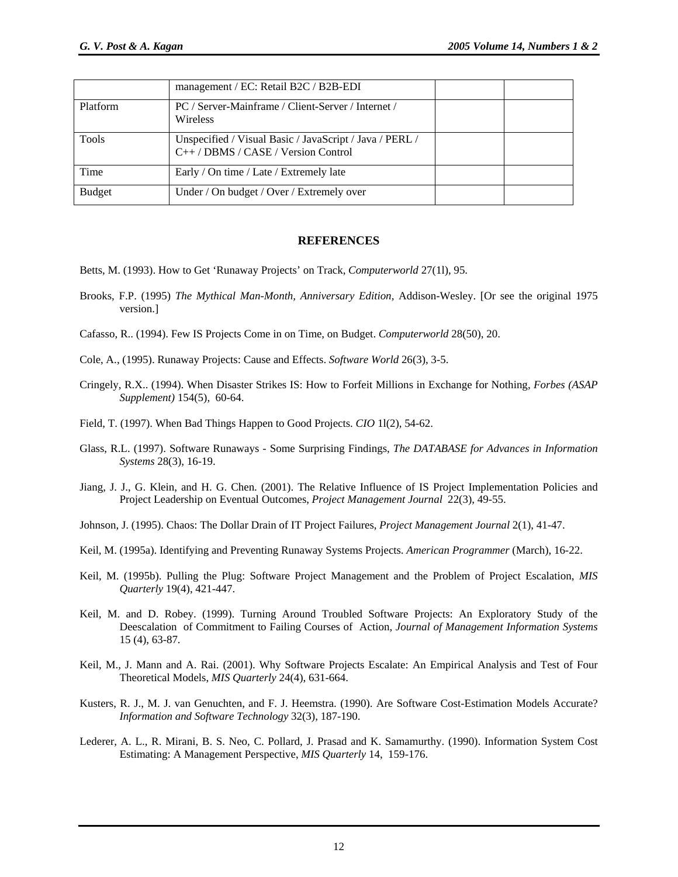|               | management / EC: Retail B2C / B2B-EDI                                                          |  |
|---------------|------------------------------------------------------------------------------------------------|--|
| Platform      | PC / Server-Mainframe / Client-Server / Internet /<br><b>Wireless</b>                          |  |
| Tools         | Unspecified / Visual Basic / JavaScript / Java / PERL /<br>$C++/DBMS / CASE / Version Control$ |  |
| Time          | Early / On time / Late / Extremely late                                                        |  |
| <b>Budget</b> | Under / On budget / Over / Extremely over                                                      |  |

#### **REFERENCES**

- Betts, M. (1993). How to Get 'Runaway Projects' on Track, *Computerworld* 27(1l), 95.
- Brooks, F.P. (1995) *The Mythical Man-Month, Anniversary Edition*, Addison-Wesley. [Or see the original 1975 version.]
- Cafasso, R.. (1994). Few IS Projects Come in on Time, on Budget. *Computerworld* 28(50), 20.
- Cole, A., (1995). Runaway Projects: Cause and Effects. *Software World* 26(3), 3-5.
- Cringely, R.X.. (1994). When Disaster Strikes IS: How to Forfeit Millions in Exchange for Nothing, *Forbes (ASAP Supplement)* 154(5), 60-64.
- Field, T. (1997). When Bad Things Happen to Good Projects. *CIO* 1l(2), 54-62.
- Glass, R.L. (1997). Software Runaways Some Surprising Findings, *The DATABASE for Advances in Information Systems* 28(3), 16-19.
- Jiang, J. J., G. Klein, and H. G. Chen. (2001). The Relative Influence of IS Project Implementation Policies and Project Leadership on Eventual Outcomes, *Project Management Journal* 22(3), 49-55.
- Johnson, J. (1995). Chaos: The Dollar Drain of IT Project Failures, *Project Management Journal* 2(1), 41-47.
- Keil, M. (1995a). Identifying and Preventing Runaway Systems Projects. *American Programmer* (March), 16-22.
- Keil, M. (1995b). Pulling the Plug: Software Project Management and the Problem of Project Escalation, *MIS Quarterly* 19(4), 421-447.
- Keil, M. and D. Robey. (1999). Turning Around Troubled Software Projects: An Exploratory Study of the Deescalation of Commitment to Failing Courses of Action, *Journal of Management Information Systems* 15 (4), 63-87.
- Keil, M., J. Mann and A. Rai. (2001). Why Software Projects Escalate: An Empirical Analysis and Test of Four Theoretical Models, *MIS Quarterly* 24(4), 631-664.
- Kusters, R. J., M. J. van Genuchten, and F. J. Heemstra. (1990). Are Software Cost-Estimation Models Accurate? *Information and Software Technology* 32(3), 187-190.
- Lederer, A. L., R. Mirani, B. S. Neo, C. Pollard, J. Prasad and K. Samamurthy. (1990). Information System Cost Estimating: A Management Perspective, *MIS Quarterly* 14, 159-176.